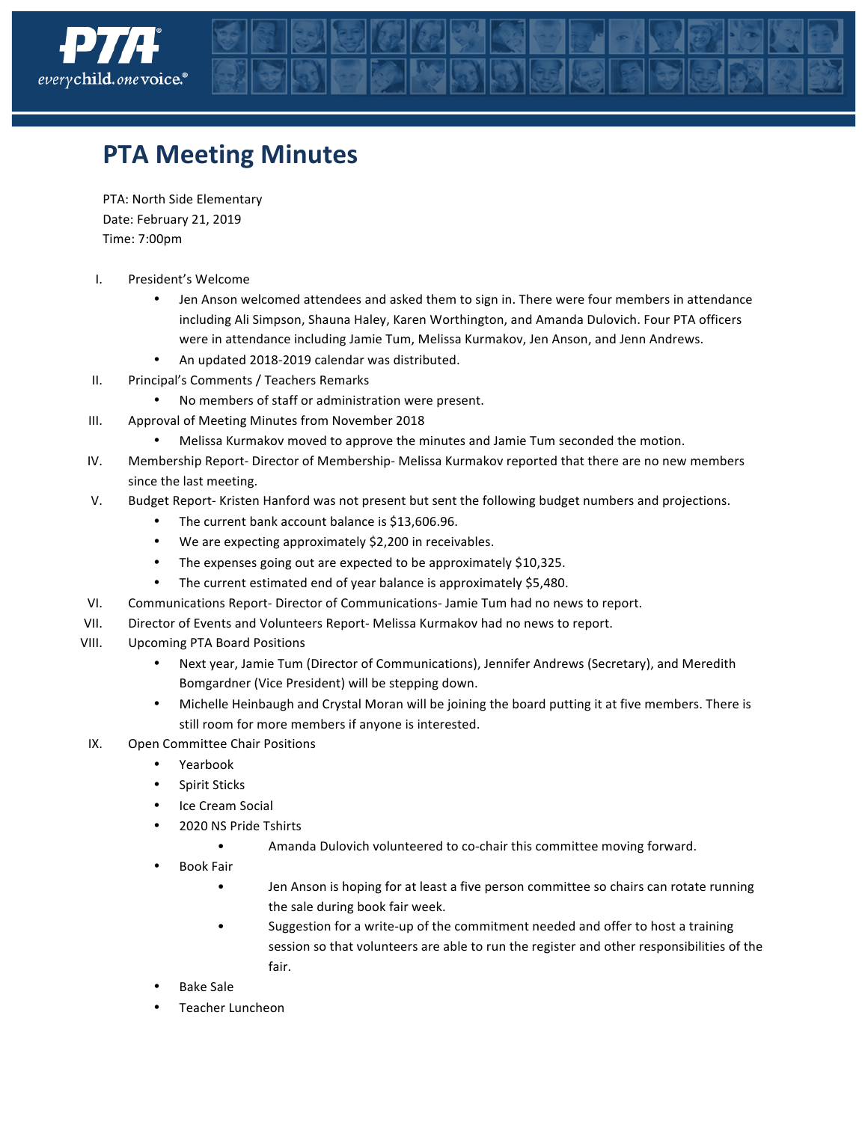

## **PTA Meeting Minutes**

PTA: North Side Elementary Date: February 21, 2019 Time: 7:00pm

- I. President's Welcome
	- Jen Anson welcomed attendees and asked them to sign in. There were four members in attendance including Ali Simpson, Shauna Haley, Karen Worthington, and Amanda Dulovich. Four PTA officers were in attendance including Jamie Tum, Melissa Kurmakov, Jen Anson, and Jenn Andrews.
	- An updated 2018-2019 calendar was distributed.
- II. Principal's Comments / Teachers Remarks
	- No members of staff or administration were present.
- III. Approval of Meeting Minutes from November 2018
	- Melissa Kurmakov moved to approve the minutes and Jamie Tum seconded the motion.
- IV. Membership Report- Director of Membership- Melissa Kurmakov reported that there are no new members since the last meeting.
- V. Budget Report- Kristen Hanford was not present but sent the following budget numbers and projections.
	- The current bank account balance is \$13,606.96.
	- We are expecting approximately \$2,200 in receivables.
	- The expenses going out are expected to be approximately  $$10,325$ .
	- The current estimated end of year balance is approximately \$5,480.
- VI. Communications Report- Director of Communications- Jamie Tum had no news to report.
- VII. Director of Events and Volunteers Report- Melissa Kurmakov had no news to report.
- VIII. Upcoming PTA Board Positions
	- Next year, Jamie Tum (Director of Communications), Jennifer Andrews (Secretary), and Meredith Bomgardner (Vice President) will be stepping down.
	- Michelle Heinbaugh and Crystal Moran will be joining the board putting it at five members. There is still room for more members if anyone is interested.
- IX. Open Committee Chair Positions
	- Yearbook
	- Spirit Sticks
	- Ice Cream Social
	- 2020 NS Pride Tshirts
		- Amanda Dulovich volunteered to co-chair this committee moving forward.
	- Book Fair
		- Jen Anson is hoping for at least a five person committee so chairs can rotate running the sale during book fair week.
		- Suggestion for a write-up of the commitment needed and offer to host a training session so that volunteers are able to run the register and other responsibilities of the fair.
	- **Bake Sale**
	- Teacher Luncheon